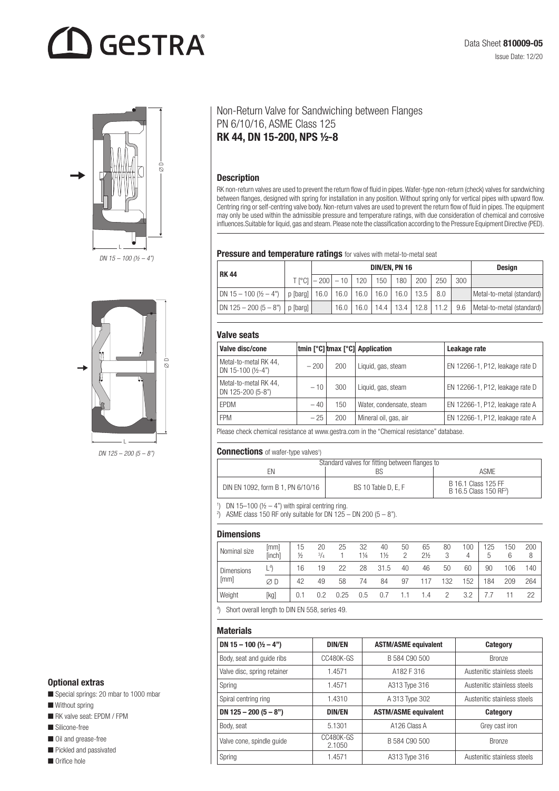# **GESTRA**



 $\overline{K}$ L

DN 125 - 200 (5 - 8")

# Optional extras

Special springs: 20 mbar to 1000 mbar

- $\blacksquare$  Without spring
- **n** RK valve seat: EPDM / FPM
- Silicone-free
- Oil and grease-free
- $\blacksquare$  Pickled and passivated

 $\blacksquare$  Orifice hole

# Non-Return Valve for Sandwiching between Flanges PN 6/10/16, ASME Class 125 RK 44, DN 15-200, NPS ½-8

## Description

RK non-return valves are used to prevent the return flow of fluid in pipes. Wafer-type non-return (check) valves for sandwiching between flanges, designed with spring for installation in any position. Without spring only for vertical pipes with upward flow. Centring ring or self-centring valve body. Non-return valves are used to prevent the return flow of fluid in pipes. The equipment may only be used within the admissible pressure and temperature ratings, with due consideration of chemical and corrosive influences.Suitable for liquid, gas and steam. Please note the classification according to the Pressure Equipment Directive (PED).

#### Pressure and temperature ratings for valves with metal-to-metal seat

| <b>RK44</b>                                                                     | DIN/EN, PN 16                                 |  |  |  |  |  | <b>Desian</b>                                 |     |                           |
|---------------------------------------------------------------------------------|-----------------------------------------------|--|--|--|--|--|-----------------------------------------------|-----|---------------------------|
|                                                                                 | T [°Cl   - 200   - 10   120   150   180   200 |  |  |  |  |  | 250                                           | 300 |                           |
| DN 15 – 100 (½ – 4")   p [barg]   16.0   16.0   16.0   16.0   16.0   13.5   8.0 |                                               |  |  |  |  |  |                                               |     | Metal-to-metal (standard) |
| DN 125 – 200 (5 – 8")   p [barg]                                                |                                               |  |  |  |  |  | 16.0   16.0   14.4   13.4   12.8   11.2   9.6 |     | Metal-to-metal (standard) |

#### Valve seats

| Valve disc/cone                                        |        |     | tmin [°C] tmax [°C] Application | Leakage rate                    |
|--------------------------------------------------------|--------|-----|---------------------------------|---------------------------------|
| Metal-to-metal RK 44,<br>DN 15-100 $(\frac{1}{2} - 4)$ | $-200$ | 200 | Liquid, gas, steam              | EN 12266-1, P12, leakage rate D |
| Metal-to-metal RK 44,<br>DN 125-200 (5-8")             | $-10$  | 300 | Liquid, gas, steam              | EN 12266-1, P12, leakage rate D |
| <b>EPDM</b>                                            | $-40$  | 150 | Water, condensate, steam        | EN 12266-1, P12, leakage rate A |
| <b>FPM</b>                                             | $-25$  | 200 | Mineral oil, gas, air           | EN 12266-1, P12, leakage rate A |
|                                                        |        |     |                                 |                                 |

Please check chemical resistance at www.gestra.com in the "Chemical resistance" database.

#### Connections of wafer-type valves<sup>1</sup>)

| Standard valves for fitting between flanges to |                     |                                                           |  |  |  |
|------------------------------------------------|---------------------|-----------------------------------------------------------|--|--|--|
| FN                                             |                     | ASME                                                      |  |  |  |
| DIN EN 1092, form B 1, PN 6/10/16              | BS 10 Table D. E. F | B 16.1 Class 125 FF<br>B 16.5 Class 150 RF <sup>2</sup> ) |  |  |  |

<sup>1</sup>) DN 15-100 ( $\frac{1}{2}$  – 4<sup>n</sup>) with spiral centring ring.

<sup>2</sup>) ASME class 150 RF only suitable for DN 125 – DN 200  $(5 - 8<sup>n</sup>)$ .

#### **Dimensions**

| Nominal size      | [mm]<br>[inch] | 15<br>$\frac{1}{2}$ | 20<br>$^{3}/_{4}$ | 25   | 32<br>$1\frac{1}{4}$ | 40<br>1½ | 50<br>2 | 65<br>$2\frac{1}{2}$ | 80<br>3 | 100<br>4 | 125<br>5 | 150<br>6 | 200<br>8 |
|-------------------|----------------|---------------------|-------------------|------|----------------------|----------|---------|----------------------|---------|----------|----------|----------|----------|
| <b>Dimensions</b> | $L^{4}$        | 16                  | 19                | 22   | 28                   | 31.5     | 40      | 46                   | 50      | 60       | 90       | 106      | 140      |
| [mm]              | ØD             | 42                  | 49                | 58   | 74                   | 84       | 97      | 117                  | 132     | 152      | 184      | 209      | 264      |
| Weight            | [kg]           | 0.1                 | 0.2               | 0.25 | 0.5                  | 0.7      |         | 1.4                  |         | 3.2      |          |          | 22       |

4 ) Short overall length to DIN EN 558, series 49.

#### **Materials**

| DN 15 - 100 $(\frac{1}{2} - 4)$ | <b>DIN/EN</b>       | <b>ASTM/ASME equivalent</b> | <b>Category</b>             |
|---------------------------------|---------------------|-----------------------------|-----------------------------|
| Body, seat and quide ribs       | CC480K-GS           | B 584 C90 500               | Bronze                      |
| Valve disc, spring retainer     | 1.4571              | A182 F 316                  | Austenitic stainless steels |
| Spring                          | 1.4571              | A313 Type 316               | Austenitic stainless steels |
| Spiral centring ring            | 1.4310              | A 313 Type 302              | Austenitic stainless steels |
| DN 125 - 200 $(5 - 8)$          | <b>DIN/EN</b>       | <b>ASTM/ASME equivalent</b> | <b>Category</b>             |
| Body, seat                      | 5.1301              | A126 Class A                | Grey cast iron              |
| Valve cone, spindle quide       | CC480K-GS<br>2.1050 | B 584 C90 500               | <b>Bronze</b>               |
| Spring                          | 1.4571              | A313 Type 316               | Austenitic stainless steels |